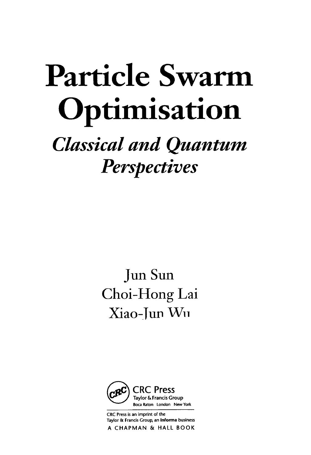# Particle Swarm Optimisation

### Classical and Quantum **Perspectives**

Jun Sun Choi-Hong Lai Xiao-Jun Wn



CRC Press is an imprint of the Taylor & Francis Group, an Informa business A CHAPMAN & HALL BOOK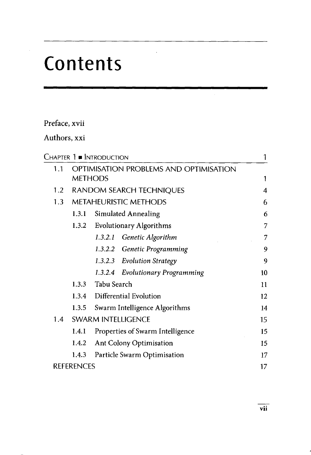## Contents

### Preface, xvii

### Authors, xxi

|                                               |                   | Chapter 1 = Introduction     |                                  | 1  |  |  |
|-----------------------------------------------|-------------------|------------------------------|----------------------------------|----|--|--|
| OPTIMISATION PROBLEMS AND OPTIMISATION<br>1.1 |                   |                              |                                  |    |  |  |
|                                               |                   | <b>METHODS</b>               |                                  | 1  |  |  |
| 1.2                                           |                   |                              | RANDOM SEARCH TECHNIQUES         | 4  |  |  |
| 1.3 <sub>1</sub>                              |                   | <b>METAHEURISTIC METHODS</b> |                                  |    |  |  |
|                                               | 1.3.1             |                              | Simulated Annealing              | 6  |  |  |
|                                               | 1.3.2             |                              | <b>Evolutionary Algorithms</b>   | 7  |  |  |
|                                               |                   | 1.3.2.1                      | Genetic Algorithm                | 7  |  |  |
|                                               |                   |                              | 1.3.2.2 Genetic Programming      | 9  |  |  |
|                                               |                   |                              | 1.3.2.3 Evolution Strategy       | 9  |  |  |
|                                               |                   | 1.3.2.4                      | Evolutionary Programming         | 10 |  |  |
|                                               | 1.3.3             | Tabu Search                  |                                  | 11 |  |  |
|                                               |                   |                              | 1.3.4 Differential Evolution     | 12 |  |  |
|                                               | 1.3.5             |                              | Swarm Intelligence Algorithms    | 14 |  |  |
| 1.4                                           |                   |                              | <b>SWARM INTELLIGENCE</b>        | 15 |  |  |
|                                               | 1.4.1             |                              | Properties of Swarm Intelligence | 15 |  |  |
|                                               | 1.4.2             |                              | <b>Ant Colony Optimisation</b>   | 15 |  |  |
|                                               | 1.4.3             |                              | Particle Swarm Optimisation      | 17 |  |  |
|                                               | <b>REFERENCES</b> |                              |                                  | 17 |  |  |
|                                               |                   |                              |                                  |    |  |  |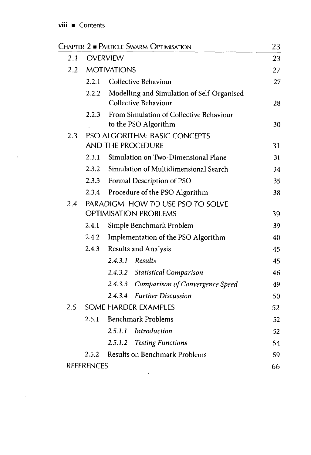$\mathcal{L}(\mathcal{A})$  and  $\mathcal{L}(\mathcal{A})$ 

 $\sim 10^{11}$  km  $^{-1}$ 

|     |                   | Chapter 2 · Particle Swarm Optimisation                            | 23 |
|-----|-------------------|--------------------------------------------------------------------|----|
| 2.1 |                   | <b>OVERVIEW</b>                                                    | 23 |
|     |                   | 2.2 MOTIVATIONS                                                    | 27 |
|     |                   | 2.2.1 Collective Behaviour                                         | 27 |
|     | 2.2.2             | Modelling and Simulation of Self-Organised<br>Collective Behaviour | 28 |
|     | 2.2.3             | From Simulation of Collective Behaviour<br>to the PSO Algorithm    | 30 |
| 2.3 |                   | PSO ALGORITHM: BASIC CONCEPTS                                      |    |
|     |                   | AND THE PROCEDURE                                                  | 31 |
|     | 2.3.1             | Simulation on Two-Dimensional Plane                                | 31 |
|     |                   | 2.3.2 Simulation of Multidimensional Search                        | 34 |
|     |                   | 2.3.3 Formal Description of PSO                                    | 35 |
|     | 2.3.4             | Procedure of the PSO Algorithm                                     | 38 |
| 2.4 |                   | PARADIGM: HOW TO USE PSO TO SOLVE<br><b>OPTIMISATION PROBLEMS</b>  | 39 |
|     | 2.4.1             | Simple Benchmark Problem                                           | 39 |
|     |                   | 2.4.2 Implementation of the PSO Algorithm                          | 40 |
|     |                   | 2.4.3 Results and Analysis                                         | 45 |
|     |                   | $2.4.3.1$ Results                                                  | 45 |
|     |                   | 2.4.3.2 Statistical Comparison                                     | 46 |
|     |                   | 2.4.3.3 Comparison of Convergence Speed                            | 49 |
|     |                   | 2.4.3.4 Further Discussion                                         | 50 |
| 2.5 |                   | <b>SOME HARDER EXAMPLES</b>                                        | 52 |
|     |                   | 2.5.1 Benchmark Problems                                           | 52 |
|     |                   | 2.5.1.1 Introduction                                               | 52 |
|     |                   | 2.5.1.2 Testing Functions                                          | 54 |
|     | 2.5.2             | <b>Results on Benchmark Problems</b>                               | 59 |
|     | <b>REFERENCES</b> |                                                                    | 66 |

 $\mathcal{L}^{\text{max}}_{\text{max}}$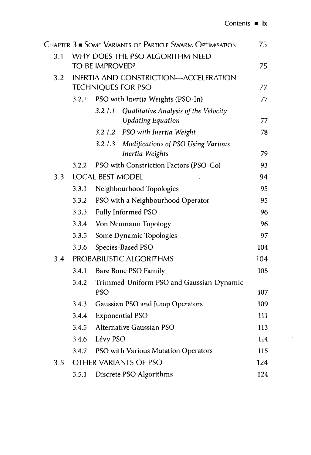|     |       |                         | Chapter 3 · Some Variants of Particle Swarm Optimisation | 75  |
|-----|-------|-------------------------|----------------------------------------------------------|-----|
| 3.1 |       |                         | WHY DOES THE PSO ALGORITHM NEED                          |     |
|     |       | TO BE IMPROVED?         |                                                          | 75  |
| 3.2 |       |                         | <b>INERTIA AND CONSTRICTION-ACCELERATION</b>             |     |
|     |       |                         | <b>TECHNIQUES FOR PSO</b>                                | 77  |
|     | 3.2.1 |                         | PSO with Inertia Weights (PSO-In)                        | 77  |
|     |       | 3.2.1.1                 | Qualitative Analysis of the Velocity                     |     |
|     |       |                         | <b>Updating Equation</b>                                 | 77  |
|     |       | 3.2.1.2                 | PSO with Inertia Weight                                  | 78  |
|     |       | 3.2.1.3                 | Modifications of PSO Using Various                       |     |
|     |       |                         | Inertia Weights                                          | 79  |
|     | 3.2.2 |                         | PSO with Constriction Factors (PSO-Co)                   | 93  |
| 3.3 |       | <b>LOCAL BEST MODEL</b> |                                                          | 94  |
|     | 3.3.1 |                         | Neighbourhood Topologies                                 | 95  |
|     | 3.3.2 |                         | PSO with a Neighbourhood Operator                        | 95  |
|     | 3.3.3 |                         | Fully Informed PSO                                       | 96  |
|     | 3.3.4 |                         | Von Neumann Topology                                     | 96  |
|     | 3.3.5 |                         | Some Dynamic Topologies                                  | 97  |
|     | 3.3.6 |                         | Species-Based PSO                                        | 104 |
| 3.4 |       |                         | PROBABILISTIC ALGORITHMS                                 | 104 |
|     | 3.4.1 |                         | Bare Bone PSO Family                                     | 105 |
|     | 3.4.2 |                         | Trimmed-Uniform PSO and Gaussian-Dynamic                 |     |
|     |       | <b>PSO</b>              |                                                          | 107 |
|     | 3.4.3 |                         | Gaussian PSO and Jump Operators                          | 109 |
|     | 3.4.4 |                         | <b>Exponential PSO</b>                                   | 111 |
|     | 3.4.5 |                         | Alternative Gaussian PSO                                 | 113 |
|     | 3.4.6 | Lévy PSO                |                                                          | 114 |
|     | 3.4.7 |                         | PSO with Various Mutation Operators                      | 115 |
| 3.5 |       |                         | <b>OTHER VARIANTS OF PSO</b>                             | 124 |
|     | 3.5.1 |                         | Discrete PSO Algorithms                                  | 124 |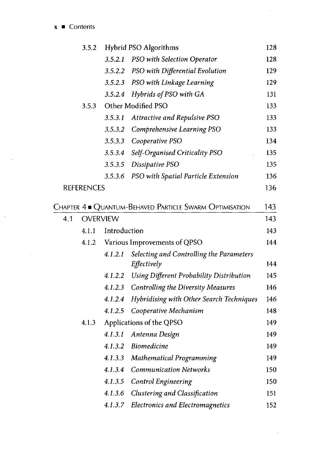$x \in$  Contents

 $\ddot{\phantom{0}}$ 

|     | 3.5.2             |                 | Hybrid PSO Algorithms                                                   | 128 |
|-----|-------------------|-----------------|-------------------------------------------------------------------------|-----|
|     |                   | 3.5.2.1         | PSO with Selection Operator                                             | 128 |
|     |                   | 3.5.2.2         | PSO with Differential Evolution                                         | 129 |
|     |                   | 3.5.2.3         | PSO with Linkage Learning                                               | 129 |
|     |                   | 3.5.2.4         | Hybrids of PSO with GA                                                  | 131 |
|     | 3.5.3             |                 | Other Modified PSO                                                      | 133 |
|     |                   | 3.5.3.1         | <b>Attractive and Repulsive PSO</b>                                     | 133 |
|     |                   | 3.5.3.2         | Comprehensive Learning PSO                                              | 133 |
|     |                   | 3.5.3.3         | Cooperative PSO                                                         | 134 |
|     |                   | 3.5.3.4         | Self-Organised Criticality PSO                                          | 135 |
|     |                   | 3.5.3.5         | Dissipative PSO                                                         | 135 |
|     |                   | 3.5.3.6         | PSO with Spatial Particle Extension                                     | 136 |
|     | <b>REFERENCES</b> |                 |                                                                         | 136 |
|     |                   |                 | Chapter $4 \bullet \text{ Quantum-BenaveD}$ Particle Swarm Optimisation | 143 |
| 4.1 |                   | <b>OVERVIEW</b> |                                                                         | 143 |
|     | 4.1.1             | Introduction    |                                                                         | 143 |
|     | 4.1.2             |                 | Various Improvements of QPSO                                            | 144 |
|     |                   | 4.1.2.1         | Selecting and Controlling the Parameters<br>Effectively                 | 144 |
|     |                   | 4.1.2.2         | Using Different Probability Distribution                                | 145 |
|     |                   | 4.1.2.3         | <b>Controlling the Diversity Measures</b>                               | 146 |
|     |                   | 4.1.2.4         | Hybridising with Other Search Techniques                                | 146 |
|     |                   | 4.1.2.5         | Cooperative Mechanism                                                   | 148 |
|     | 4.1.3             |                 | Applications of the QPSO                                                | 149 |
|     |                   | 4.1.3.1         | Antenna Design                                                          | 149 |
|     |                   | 4.1.3.2         | <b>Biomedicine</b>                                                      | 149 |
|     |                   | 4.1.3.3         | Mathematical Programming                                                | 149 |
|     |                   | 4.1.3.4         | <b>Communication Networks</b>                                           | 150 |
|     |                   | 4.1.3.5         | Control Engineering                                                     | 150 |
|     |                   | 4.1.3.6         | Clustering and Classification                                           | 151 |
|     |                   | 4.1.3.7         | <b>Electronics and Electromagnetics</b>                                 | 152 |

 $\hat{\mathcal{A}}$ 

 $\bar{z}$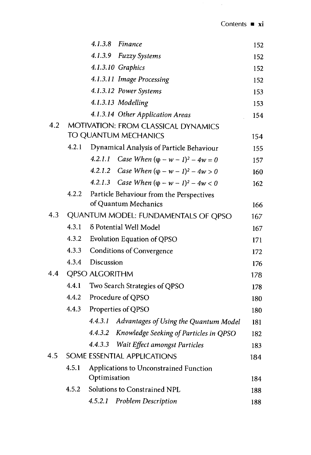$\hat{\mathcal{A}}$ 

|     |       | 4.1.3.8 Finance                                     | 152 |
|-----|-------|-----------------------------------------------------|-----|
|     |       | 4.1.3.9 Fuzzy Systems                               | 152 |
|     |       | 4.1.3.10 Graphics                                   | 152 |
|     |       | 4.1.3.11 Image Processing                           | 152 |
|     |       | 4.1.3.12 Power Systems                              | 153 |
|     |       | 4.1.3.13 Modelling                                  | 153 |
|     |       | 4.1.3.14 Other Application Areas                    | 154 |
| 4.2 |       | MOTIVATION: FROM CLASSICAL DYNAMICS                 |     |
|     |       | TO QUANTUM MECHANICS                                | 154 |
|     | 4.2.1 | Dynamical Analysis of Particle Behaviour            | 155 |
|     |       | Case When $(\varphi - w - 1)^2 - 4w = 0$<br>4.2.1.1 | 157 |
|     |       | 4.2.1.2 Case When $(\varphi - w - 1)^2 - 4w > 0$    | 160 |
|     |       | Case When $((\rho - w - 1)^2 - 4w < 0)$<br>4.2.1.3  | 162 |
|     | 4.2.2 | Particle Behaviour from the Perspectives            |     |
|     |       | of Quantum Mechanics                                | 166 |
| 4.3 |       | QUANTUM MODEL: FUNDAMENTALS OF QPSO                 | 167 |
|     | 4.3.1 | δ Potential Well Model                              | 167 |
|     | 4.3.2 | Evolution Equation of QPSO                          | 171 |
|     | 4.3.3 | <b>Conditions of Convergence</b>                    | 172 |
|     | 4.3.4 | Discussion                                          | 176 |
| 4.4 |       | <b>QPSO ALGORITHM</b>                               | 178 |
|     | 4.4.1 | Two Search Strategies of QPSO                       | 178 |
|     | 4.4.2 | Procedure of QPSO                                   | 180 |
|     | 4.4.3 | Properties of QPSO                                  | 180 |
|     |       | 4.4.3.1<br>Advantages of Using the Quantum Model    | 181 |
|     |       | Knowledge Seeking of Particles in QPSO<br>4.4.3.2   | 182 |
|     |       | 4.4.3.3 Wait Effect amongst Particles               | 183 |
| 4.5 |       | SOME ESSENTIAL APPLICATIONS                         | 184 |
|     | 4.5.1 | Applications to Unconstrained Function              |     |
|     |       | Optimisation                                        | 184 |
|     | 4.5.2 | Solutions to Constrained NPL                        | 188 |
|     |       | 4.5.2.1<br><b>Problem Description</b>               | 188 |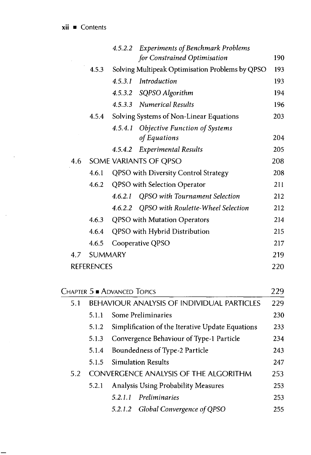$\bar{\beta}$ 

|       |         | for Constrained Optimisation   | 190                                                                                                                                                                                                                                                                                                                                                                                                                                                                                                                |
|-------|---------|--------------------------------|--------------------------------------------------------------------------------------------------------------------------------------------------------------------------------------------------------------------------------------------------------------------------------------------------------------------------------------------------------------------------------------------------------------------------------------------------------------------------------------------------------------------|
| 4.5.3 |         |                                | 193                                                                                                                                                                                                                                                                                                                                                                                                                                                                                                                |
|       | 4.5.3.1 | Introduction                   | 193                                                                                                                                                                                                                                                                                                                                                                                                                                                                                                                |
|       |         |                                | 194                                                                                                                                                                                                                                                                                                                                                                                                                                                                                                                |
|       |         |                                | 196                                                                                                                                                                                                                                                                                                                                                                                                                                                                                                                |
| 4.5.4 |         |                                | 203                                                                                                                                                                                                                                                                                                                                                                                                                                                                                                                |
|       |         |                                |                                                                                                                                                                                                                                                                                                                                                                                                                                                                                                                    |
|       |         | of Equations                   | 204                                                                                                                                                                                                                                                                                                                                                                                                                                                                                                                |
|       |         |                                | 205                                                                                                                                                                                                                                                                                                                                                                                                                                                                                                                |
|       |         |                                | 208                                                                                                                                                                                                                                                                                                                                                                                                                                                                                                                |
| 4.6.1 |         |                                | 208                                                                                                                                                                                                                                                                                                                                                                                                                                                                                                                |
| 4.6.2 |         |                                | 211                                                                                                                                                                                                                                                                                                                                                                                                                                                                                                                |
|       | 4.6.2.1 | QPSO with Tournament Selection | 212                                                                                                                                                                                                                                                                                                                                                                                                                                                                                                                |
|       |         |                                | 212                                                                                                                                                                                                                                                                                                                                                                                                                                                                                                                |
|       |         |                                | 214                                                                                                                                                                                                                                                                                                                                                                                                                                                                                                                |
| 4.6.4 |         |                                | 215                                                                                                                                                                                                                                                                                                                                                                                                                                                                                                                |
| 4.6.5 |         |                                | 217                                                                                                                                                                                                                                                                                                                                                                                                                                                                                                                |
|       |         |                                | 219                                                                                                                                                                                                                                                                                                                                                                                                                                                                                                                |
|       |         |                                | 220                                                                                                                                                                                                                                                                                                                                                                                                                                                                                                                |
|       |         | <b>SUMMARY</b><br>REFERENCES   | 4.5.2.2 Experiments of Benchmark Problems<br>Solving Multipeak Optimisation Problems by QPSO<br>4.5.3.2 SQPSO Algorithm<br>4.5.3.3 Numerical Results<br>Solving Systems of Non-Linear Equations<br>4.5.4.1 Objective Function of Systems<br>4.5.4.2 Experimental Results<br>SOME VARIANTS OF QPSO<br>QPSO with Diversity Control Strategy<br>QPSO with Selection Operator<br>4.6.2.2 QPSO with Roulette-Wheel Selection<br>4.6.3 QPSO with Mutation Operators<br>QPSO with Hybrid Distribution<br>Cooperative QPSO |

| <b>CHAPTER 5 ADVANCED TOPICS</b> |                                                  |                                                                                                   |  |  |  |
|----------------------------------|--------------------------------------------------|---------------------------------------------------------------------------------------------------|--|--|--|
|                                  |                                                  |                                                                                                   |  |  |  |
| 5.1.1                            | Some Preliminaries                               | 230                                                                                               |  |  |  |
| 5.1.2                            | Simplification of the Iterative Update Equations | 233                                                                                               |  |  |  |
| 5.1.3                            | Convergence Behaviour of Type-1 Particle         |                                                                                                   |  |  |  |
| 5.1.4                            | Boundedness of Type-2 Particle                   | 243                                                                                               |  |  |  |
| 5.1.5                            | <b>Simulation Results</b>                        | 247                                                                                               |  |  |  |
|                                  |                                                  | 253                                                                                               |  |  |  |
| 5.2.1                            | Analysis Using Probability Measures              | 253                                                                                               |  |  |  |
|                                  | Preliminaries<br>5.2.1.1                         | 253                                                                                               |  |  |  |
|                                  | 5.2.1.2 Global Convergence of QPSO               | 255                                                                                               |  |  |  |
|                                  |                                                  | <b>BEHAVIOUR ANALYSIS OF INDIVIDUAL PARTICLES</b><br><b>CONVERGENCE ANALYSIS OF THE ALGORITHM</b> |  |  |  |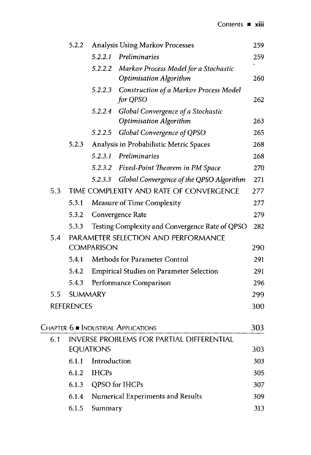|     | 5.2.2             |                   | <b>Analysis Using Markov Processes</b>                              | 259 |
|-----|-------------------|-------------------|---------------------------------------------------------------------|-----|
|     |                   | 5.2.2.1           | Preliminaries                                                       | 259 |
|     |                   | 5.2.2.2           | Markov Process Model for a Stochastic                               |     |
|     |                   |                   | <b>Optimisation Algorithm</b>                                       | 260 |
|     |                   | 5.2.2.3           | Construction of a Markov Process Model<br>for QPSO                  | 262 |
|     |                   | 5.2.2.4           | Global Convergence of a Stochastic<br><b>Optimisation Algorithm</b> | 263 |
|     |                   | 5.2.2.5           | Global Convergence of QPSO                                          | 265 |
|     | 5.2.3             |                   | Analysis in Probabilistic Metric Spaces                             | 268 |
|     |                   | 5.2.3.1           | Preliminaries                                                       | 268 |
|     |                   | 5.2.3.2           | Fixed-Point Theorem in PM Space                                     | 270 |
|     |                   | 5.2.3.3           | Global Convergence of the QPSO Algorithm                            | 271 |
| 5.3 |                   |                   | TIME COMPLEXITY AND RATE OF CONVERGENCE                             | 277 |
|     | 5.3.1             |                   | Measure of Time Complexity                                          | 277 |
|     | 5.3.2             |                   | Convergence Rate                                                    | 279 |
|     | 5.3.3             |                   | Testing Complexity and Convergence Rate of QPSO                     | 282 |
| 5.4 |                   |                   | PARAMETER SELECTION AND PERFORMANCE                                 |     |
|     |                   | <b>COMPARISON</b> |                                                                     | 290 |
|     | 5.4.1             |                   | Methods for Parameter Control                                       | 291 |
|     | 5.4.2             |                   | Empirical Studies on Parameter Selection                            | 291 |
|     | 5.4.3             |                   | Performance Comparison                                              | 296 |
| 5.5 | <b>SUMMARY</b>    |                   |                                                                     | 299 |
|     | <b>REFERENCES</b> |                   |                                                                     | 300 |
|     |                   |                   | Chapter $6\blacksquare$ Industrial Applications                     | 303 |
| 6.1 |                   |                   | INVERSE PROBLEMS FOR PARTIAL DIFFERENTIAL                           |     |
|     |                   | <b>EQUATIONS</b>  |                                                                     | 303 |
|     | 6.1.1             | Introduction      |                                                                     | 303 |
|     | 6.1.2             | <b>IHCPs</b>      |                                                                     | 305 |
|     | 6.1.3             |                   | QPSO for IHCPs                                                      | 307 |
|     | 6.1.4             |                   | Numerical Experiments and Results                                   | 309 |
|     | 6.1.5             | Summary           |                                                                     | 313 |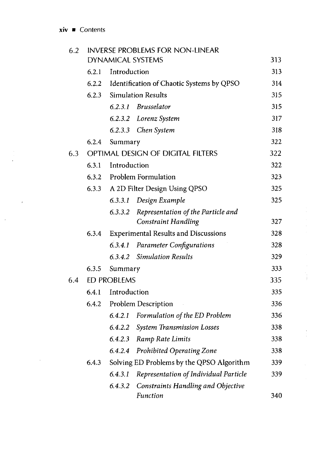$\bar{I}$ 

| 6.2 | <b>INVERSE PROBLEMS FOR NON-LINEAR</b> |                           |                                                 |     |  |  |
|-----|----------------------------------------|---------------------------|-------------------------------------------------|-----|--|--|
|     |                                        |                           | <b>DYNAMICAL SYSTEMS</b>                        | 313 |  |  |
|     | 6.2.1                                  | Introduction              |                                                 | 313 |  |  |
|     |                                        |                           | 6.2.2 Identification of Chaotic Systems by QPSO | 314 |  |  |
|     |                                        |                           | 6.2.3 Simulation Results                        |     |  |  |
|     |                                        |                           | 6.2.3.1 Brusselator                             | 315 |  |  |
|     |                                        |                           | 6.2.3.2 Lorenz System                           | 317 |  |  |
|     |                                        |                           | 6.2.3.3 Chen System                             | 318 |  |  |
|     | 6.2.4                                  | Summary                   |                                                 | 322 |  |  |
| 6.3 |                                        |                           | OPTIMAL DESIGN OF DIGITAL FILTERS               | 322 |  |  |
|     | 6.3.1                                  | Introduction              |                                                 |     |  |  |
|     |                                        |                           | 6.3.2 Problem Formulation                       | 323 |  |  |
|     | 6.3.3                                  |                           | A 2D Filter Design Using QPSO                   | 325 |  |  |
|     |                                        | 6.3.3.1                   | Design Example                                  | 325 |  |  |
|     |                                        | 6.3.3.2                   | Representation of the Particle and              |     |  |  |
|     |                                        |                           | <b>Constraint Handling</b>                      | 327 |  |  |
|     | 6.3.4                                  |                           | <b>Experimental Results and Discussions</b>     | 328 |  |  |
|     |                                        | 6.3.4.1                   | <b>Parameter Configurations</b>                 | 328 |  |  |
|     |                                        |                           | 6.3.4.2 Simulation Results                      | 329 |  |  |
|     | 6.3.5                                  | Summary                   |                                                 | 333 |  |  |
| 6.4 |                                        | 335<br><b>ED PROBLEMS</b> |                                                 |     |  |  |
|     | 6.4.1                                  | Introduction              |                                                 |     |  |  |
|     |                                        |                           | 6.4.2 Problem Description                       | 336 |  |  |
|     |                                        |                           | 6.4.2.1 Formulation of the ED Problem           | 336 |  |  |
|     |                                        | 6.4.2.2                   | <b>System Transmission Losses</b>               | 338 |  |  |
|     |                                        |                           | 6.4.2.3 Ramp Rate Limits                        | 338 |  |  |
|     |                                        | 6.4.2.4                   | Prohibited Operating Zone                       | 338 |  |  |
|     | 6.4.3                                  |                           | Solving ED Problems by the QPSO Algorithm       | 339 |  |  |
|     |                                        | 6.4.3.1                   | Representation of Individual Particle           | 339 |  |  |
|     |                                        | 6.4.3.2                   | <b>Constraints Handling and Objective</b>       |     |  |  |
|     |                                        |                           | <b>Function</b>                                 | 340 |  |  |

 $\begin{array}{c} \mathbf{1} \\ \mathbf{1} \\ \mathbf{1} \end{array}$ 

 $\begin{array}{c} \bar{x} \\ \bar{y} \\ \bar{z} \end{array}$